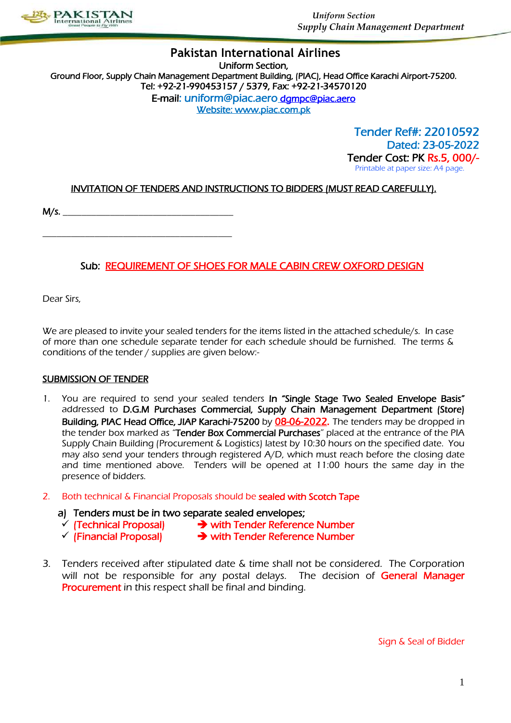

### **Pakistan International Airlines** Uniform Section, Ground Floor, Supply Chain Management Department Building, (PIAC), Head Office Karachi Airport-75200. Tel: +92-21-990453157 / 5379, Fax: +92-21-34570120 E-mail: uniform@piac.aero [dgmpc@piac.aero](mailto:dgmpc@piac.aero)  Website: www.piac.com.pk

 Tender Ref#: 22010592 Dated: 23-05-2022 Tender Cost: PK Rs.5, 000/- Printable at paper size: A4 page.

# INVITATION OF TENDERS AND INSTRUCTIONS TO BIDDERS (MUST READ CAREFULLY).

M/s. \_\_\_\_\_\_\_\_\_\_\_\_\_\_\_\_\_\_\_\_\_\_\_\_\_\_\_\_\_\_\_\_\_\_\_\_

\_\_\_\_\_\_\_\_\_\_\_\_\_\_\_\_\_\_\_\_\_\_\_\_\_\_\_\_\_\_\_\_\_\_\_\_\_\_\_\_

# Sub: REQUIREMENT OF SHOES FOR MALE CABIN CREW OXFORD DESIGN

Dear Sirs,

We are pleased to invite your sealed tenders for the items listed in the attached schedule/s. In case of more than one schedule separate tender for each schedule should be furnished. The terms & conditions of the tender / supplies are given below:-

### SUBMISSION OF TENDER

- 1. You are required to send your sealed tenders In "Single Stage Two Sealed Envelope Basis" addressed to D.G.M Purchases Commercial, Supply Chain Management Department (Store) Building, PIAC Head Office, JIAP Karachi-75200 by 08-06-2022. The tenders may be dropped in the tender box marked as "Tender Box Commercial Purchases" placed at the entrance of the PIA Supply Chain Building (Procurement & Logistics) latest by 10:30 hours on the specified date. You may also send your tenders through registered A/D, which must reach before the closing date and time mentioned above. Tenders will be opened at 11:00 hours the same day in the presence of bidders.
- 2. Both technical & Financial Proposals should be **sealed with Scotch Tape** 
	- a) Tenders must be in two separate sealed envelopes;<br>  $\checkmark$  (Technical Proposal)  $\checkmark$  with Tender Referenc
	-
- $\rightarrow$  with Tender Reference Number
	-
	- $\checkmark$  (Financial Proposal)  $\rightarrow$  with Tender Reference Number
- 3. Tenders received after stipulated date & time shall not be considered. The Corporation will not be responsible for any postal delays. The decision of General Manager Procurement in this respect shall be final and binding.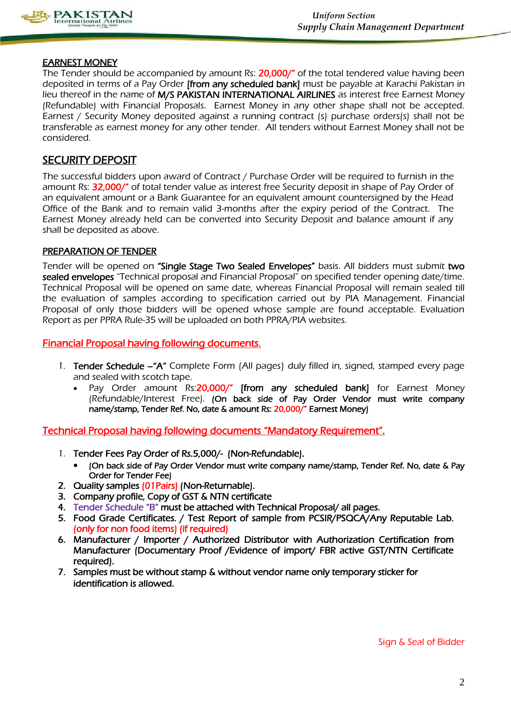

### EARNEST MONEY

The Tender should be accompanied by amount Rs: 20,000/" of the total tendered value having been deposited in terms of a Pay Order **[from any scheduled bank]** must be payable at Karachi Pakistan in lieu thereof in the name of M/S PAKISTAN INTERNATIONAL AIRLINES as interest free Earnest Money (Refundable) with Financial Proposals. Earnest Money in any other shape shall not be accepted. Earnest / Security Money deposited against a running contract (s) purchase orders(s) shall not be transferable as earnest money for any other tender. All tenders without Earnest Money shall not be considered.

### SECURITY DEPOSIT

The successful bidders upon award of Contract / Purchase Order will be required to furnish in the amount Rs: 32,000/" of total tender value as interest free Security deposit in shape of Pay Order of an equivalent amount or a Bank Guarantee for an equivalent amount countersigned by the Head Office of the Bank and to remain valid 3-months after the expiry period of the Contract. The Earnest Money already held can be converted into Security Deposit and balance amount if any shall be deposited as above.

### PREPARATION OF TENDER

Tender will be opened on "Single Stage Two Sealed Envelopes" basis. All bidders must submit two sealed envelopes "Technical proposal and Financial Proposal" on specified tender opening date/time. Technical Proposal will be opened on same date, whereas Financial Proposal will remain sealed till the evaluation of samples according to specification carried out by PIA Management. Financial Proposal of only those bidders will be opened whose sample are found acceptable. Evaluation Report as per PPRA Rule-35 will be uploaded on both PPRA/PIA websites.

### Financial Proposal having following documents.

- 1. Tender Schedule "A" Complete Form {All pages} duly filled in, signed, stamped every page and sealed with scotch tape.
	- Pay Order amount Rs:20,000/" [from any scheduled bank] for Earnest Money (Refundable/Interest Free). (On back side of Pay Order Vendor must write company name/stamp, Tender Ref. No, date & amount Rs: 20,000/" Earnest Money)

Technical Proposal having following documents "Mandatory Requirement".

- 1. Tender Fees Pay Order of Rs.5,000/- (Non-Refundable).
	- (On back side of Pay Order Vendor must write company name/stamp, Tender Ref. No, date & Pay Order for Tender Fee)
- 2. Quality samples (01 Pairs) (Non-Returnable).
- 3. Company profile, Copy of GST & NTN certificate
- 4. Tender Schedule "B" must be attached with Technical Proposal/ all pages.
- 5. Food Grade Certificates. / Test Report of sample from PCSIR/PSQCA/Any Reputable Lab. (only for non food items) (if required)
- 6. Manufacturer / Importer / Authorized Distributor with Authorization Certification from Manufacturer (Documentary Proof /Evidence of import/ FBR active GST/NTN Certificate required).
- 7. Samples must be without stamp & without vendor name only temporary sticker for identification is allowed.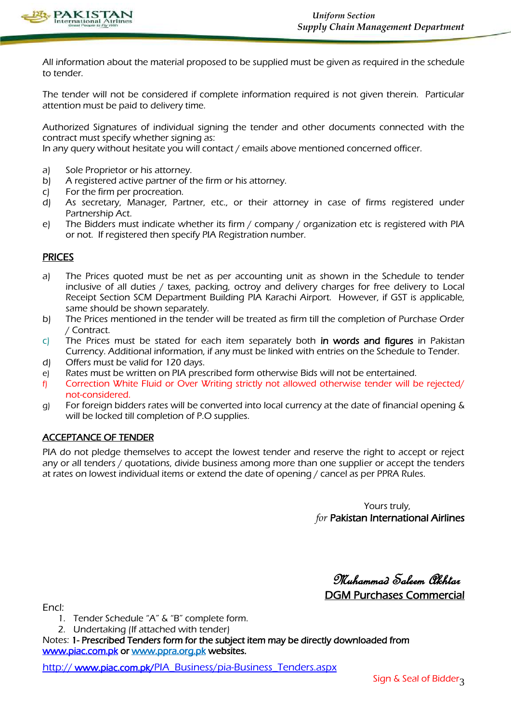

All information about the material proposed to be supplied must be given as required in the schedule to tender.

The tender will not be considered if complete information required is not given therein. Particular attention must be paid to delivery time.

Authorized Signatures of individual signing the tender and other documents connected with the contract must specify whether signing as:

In any query without hesitate you will contact / emails above mentioned concerned officer.

- a) Sole Proprietor or his attorney.
- b) A registered active partner of the firm or his attorney.
- c) For the firm per procreation.
- d) As secretary, Manager, Partner, etc., or their attorney in case of firms registered under Partnership Act.
- e) The Bidders must indicate whether its firm / company / organization etc is registered with PIA or not. If registered then specify PIA Registration number.

### PRICES

- a) The Prices quoted must be net as per accounting unit as shown in the Schedule to tender inclusive of all duties / taxes, packing, octroy and delivery charges for free delivery to Local Receipt Section SCM Department Building PIA Karachi Airport. However, if GST is applicable, same should be shown separately.
- b) The Prices mentioned in the tender will be treated as firm till the completion of Purchase Order / Contract.
- c) The Prices must be stated for each item separately both in words and figures in Pakistan Currency. Additional information, if any must be linked with entries on the Schedule to Tender. d) Offers must be valid for 120 days.
- e) Rates must be written on PIA prescribed form otherwise Bids will not be entertained.
- f) Correction White Fluid or Over Writing strictly not allowed otherwise tender will be rejected/ not-considered.
- g) For foreign bidders rates will be converted into local currency at the date of financial opening & will be locked till completion of P.O supplies.

### ACCEPTANCE OF TENDER

PIA do not pledge themselves to accept the lowest tender and reserve the right to accept or reject any or all tenders / quotations, divide business among more than one supplier or accept the tenders at rates on lowest individual items or extend the date of opening / cancel as per PPRA Rules.

> Yours truly, *for* Pakistan International Airlines

 Muhammad Saleem Akhtar DGM Purchases Commercial

Encl:

- 1. Tender Schedule "A" & "B" complete form.
- 2. Undertaking (If attached with tender)

Notes: 1- Prescribed Tenders form for the subject item may be directly downloaded from [www.piac.com.pk](http://www.piac.com.pk/) or www.ppra.org.pk websites.

http://www.piac.com.pk/PIA\_Business/pia-Business\_Tenders.aspx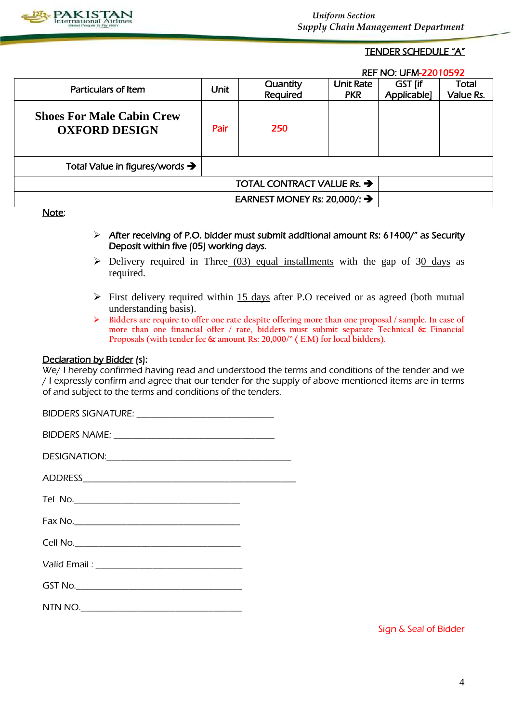

 *Uniform Section Supply Chain Management Department*

### TENDER SCHEDULE "A"

REF NO: UFM-22010592

| Particulars of Item                                      | Unit | Quantity<br>Required                     | <b>Unit Rate</b><br><b>PKR</b> | GST [if<br>Applicable] | Total<br>Value Rs. |
|----------------------------------------------------------|------|------------------------------------------|--------------------------------|------------------------|--------------------|
| <b>Shoes For Male Cabin Crew</b><br><b>OXFORD DESIGN</b> | Pair | 250                                      |                                |                        |                    |
| Total Value in figures/words $\rightarrow$               |      |                                          |                                |                        |                    |
|                                                          |      | TOTAL CONTRACT VALUE Rs. $\rightarrow$   |                                |                        |                    |
|                                                          |      | EARNEST MONEY Rs: 20,000/: $\rightarrow$ |                                |                        |                    |
| <b>Nictor</b>                                            |      |                                          |                                |                        |                    |

<u>Note</u>:

- After receiving of P.O. bidder must submit additional amount Rs: 61400/" as Security Deposit within five (05) working days.
- $\triangleright$  Delivery required in Three (03) equal installments with the gap of 30 days as required.
- $\triangleright$  First delivery required within 15 days after P.O received or as agreed (both mutual understanding basis).
- **Bidders are require to offer one rate despite offering more than one proposal / sample. In case of more than one financial offer / rate, bidders must submit separate Technical & Financial Proposals (with tender fee & amount Rs: 20,000/" ( E.M) for local bidders).**

### Declaration by Bidder (s):

We/ I hereby confirmed having read and understood the terms and conditions of the tender and we / I expressly confirm and agree that our tender for the supply of above mentioned items are in terms of and subject to the terms and conditions of the tenders.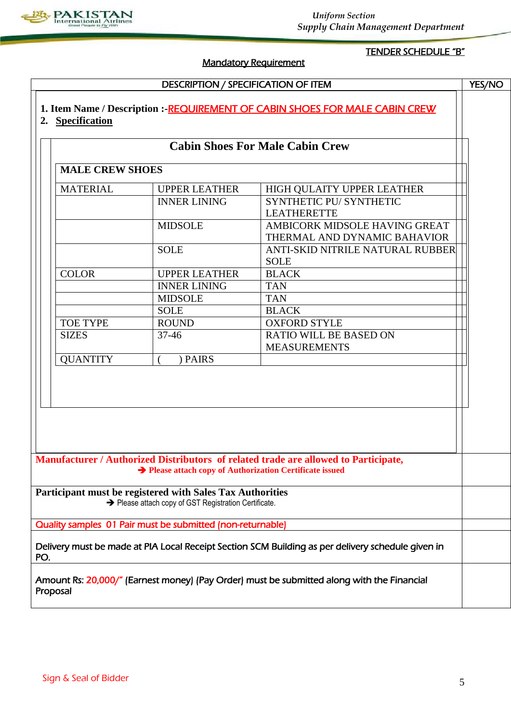

#### *Uniform Section Supply Chain Management Department*

# Mandatory Requirement

# TENDER SCHEDULE "B"

|                        |                                                                                                                                                                                  | <b>Cabin Shoes For Male Cabin Crew</b>               |  |
|------------------------|----------------------------------------------------------------------------------------------------------------------------------------------------------------------------------|------------------------------------------------------|--|
|                        |                                                                                                                                                                                  |                                                      |  |
| <b>MALE CREW SHOES</b> |                                                                                                                                                                                  |                                                      |  |
| <b>MATERIAL</b>        | <b>UPPER LEATHER</b>                                                                                                                                                             | HIGH QULAITY UPPER LEATHER                           |  |
|                        | <b>INNER LINING</b>                                                                                                                                                              | SYNTHETIC PU/ SYNTHETIC                              |  |
|                        |                                                                                                                                                                                  | <b>LEATHERETTE</b>                                   |  |
|                        | <b>MIDSOLE</b>                                                                                                                                                                   | AMBICORK MIDSOLE HAVING GREAT                        |  |
|                        |                                                                                                                                                                                  | THERMAL AND DYNAMIC BAHAVIOR                         |  |
|                        | <b>SOLE</b>                                                                                                                                                                      | ANTI-SKID NITRILE NATURAL RUBBER<br><b>SOLE</b>      |  |
| <b>COLOR</b>           | <b>UPPER LEATHER</b>                                                                                                                                                             | <b>BLACK</b>                                         |  |
|                        | <b>INNER LINING</b>                                                                                                                                                              | <b>TAN</b>                                           |  |
|                        | <b>MIDSOLE</b>                                                                                                                                                                   | <b>TAN</b>                                           |  |
|                        | <b>SOLE</b>                                                                                                                                                                      | <b>BLACK</b>                                         |  |
| <b>TOE TYPE</b>        | <b>ROUND</b>                                                                                                                                                                     | <b>OXFORD STYLE</b>                                  |  |
| <b>SIZES</b>           | $37 - 46$                                                                                                                                                                        | <b>RATIO WILL BE BASED ON</b><br><b>MEASUREMENTS</b> |  |
| <b>QUANTITY</b>        | <b>PAIRS</b>                                                                                                                                                                     |                                                      |  |
|                        |                                                                                                                                                                                  |                                                      |  |
|                        | Manufacturer / Authorized Distributors of related trade are allowed to Participate,<br>Rease attach copy of Authorization Certificate issued                                     |                                                      |  |
|                        | Participant must be registered with Sales Tax Authorities<br>→ Please attach copy of GST Registration Certificate.<br>Quality samples 01 Pair must be submitted (non-returnable) |                                                      |  |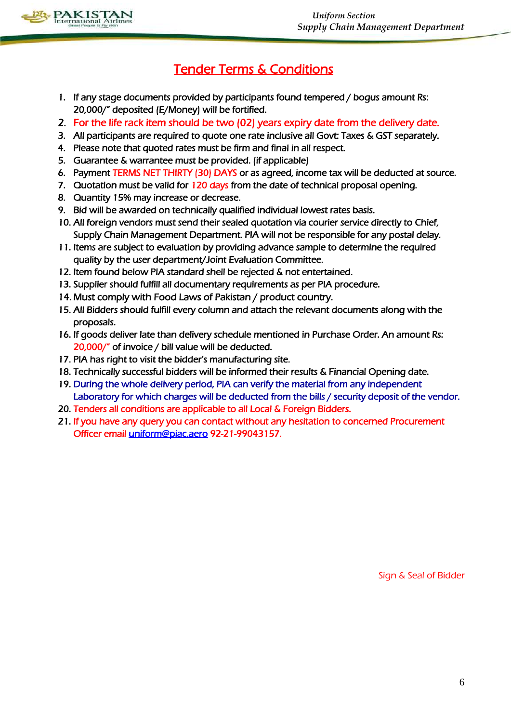

# Tender Terms & Conditions

- 1. If any stage documents provided by participants found tempered / bogus amount Rs: 20,000/" deposited (E/Money) will be fortified.
- 2. For the life rack item should be two (02) years expiry date from the delivery date.
- 3. All participants are required to quote one rate inclusive all Govt: Taxes & GST separately.
- 4. Please note that quoted rates must be firm and final in all respect.
- 5. Guarantee & warrantee must be provided. (if applicable)
- 6. Payment TERMS NET THIRTY (30) DAYS or as agreed, income tax will be deducted at source.
- 7. Quotation must be valid for 120 days from the date of technical proposal opening.
- 8. Quantity 15% may increase or decrease.
- 9. Bid will be awarded on technically qualified individual lowest rates basis.
- 10. All foreign vendors must send their sealed quotation via courier service directly to Chief, Supply Chain Management Department. PIA will not be responsible for any postal delay.
- 11. Items are subject to evaluation by providing advance sample to determine the required quality by the user department/Joint Evaluation Committee.
- 12. Item found below PIA standard shell be rejected & not entertained.
- 13. Supplier should fulfill all documentary requirements as per PIA procedure.
- 14. Must comply with Food Laws of Pakistan / product country.
- 15. All Bidders should fulfill every column and attach the relevant documents along with the proposals.
- 16. If goods deliver late than delivery schedule mentioned in Purchase Order. An amount Rs: 20,000/" of invoice / bill value will be deducted.
- 17. PIA has right to visit the bidder's manufacturing site.
- 18. Technically successful bidders will be informed their results & Financial Opening date.
- 19. During the whole delivery period, PIA can verify the material from any independent Laboratory for which charges will be deducted from the bills / security deposit of the vendor.
- 20. Tenders all conditions are applicable to all Local & Foreign Bidders.
- 21. If you have any query you can contact without any hesitation to concerned Procurement Officer email [uniform@piac.aero](mailto:uniform@piac.aero) 92-21-99043157.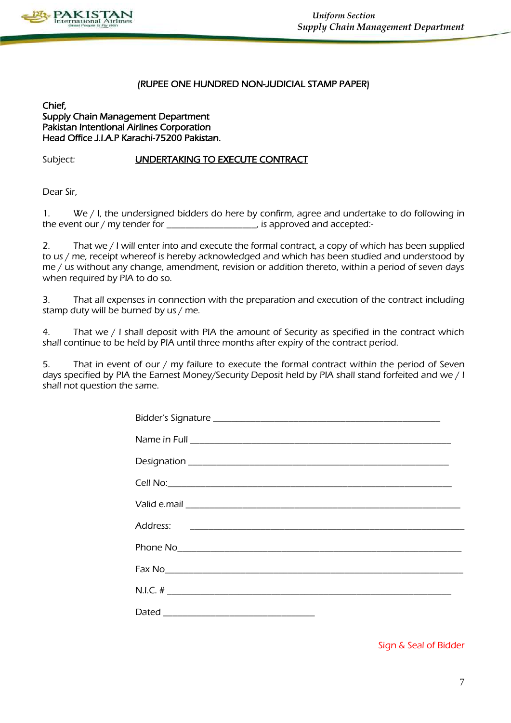

### (RUPEE ONE HUNDRED NON-JUDICIAL STAMP PAPER)

### Chief, Supply Chain Management Department Pakistan Intentional Airlines Corporation Head Office J.I.A.P Karachi-75200 Pakistan.

### Subject: UNDERTAKING TO EXECUTE CONTRACT

Dear Sir,

1. We / I, the undersigned bidders do here by confirm, agree and undertake to do following in the event our / my tender for \_\_\_\_\_\_\_\_\_\_\_\_\_\_\_\_\_\_\_\_, is approved and accepted:-

2. That we / I will enter into and execute the formal contract, a copy of which has been supplied to us / me, receipt whereof is hereby acknowledged and which has been studied and understood by me / us without any change, amendment, revision or addition thereto, within a period of seven days when required by PIA to do so.

3. That all expenses in connection with the preparation and execution of the contract including stamp duty will be burned by us / me.

4. That we / I shall deposit with PIA the amount of Security as specified in the contract which shall continue to be held by PIA until three months after expiry of the contract period.

5. That in event of our / my failure to execute the formal contract within the period of Seven days specified by PIA the Earnest Money/Security Deposit held by PIA shall stand forfeited and we / I shall not question the same.

| N.I.C. # $\frac{1}{2}$ |  |
|------------------------|--|
|                        |  |
|                        |  |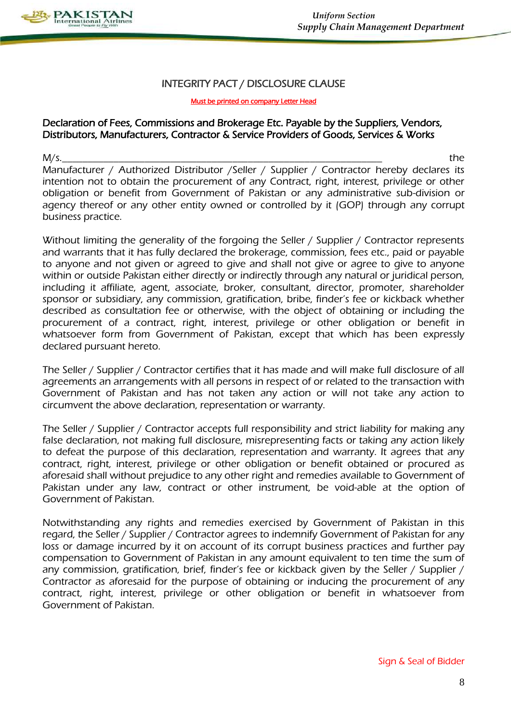

## INTEGRITY PACT / DISCLOSURE CLAUSE

#### Must be printed on company Letter Head

# Declaration of Fees, Commissions and Brokerage Etc. Payable by the Suppliers, Vendors, Distributors, Manufacturers, Contractor & Service Providers of Goods, Services & Works

M/s.\_\_\_\_\_\_\_\_\_\_\_\_\_\_\_\_\_\_\_\_\_\_\_\_\_\_\_\_\_\_\_\_\_\_\_\_\_\_\_\_\_\_\_\_\_\_\_\_\_\_\_\_\_\_\_\_\_\_\_\_\_\_ the Manufacturer / Authorized Distributor / Seller / Supplier / Contractor hereby declares its intention not to obtain the procurement of any Contract, right, interest, privilege or other obligation or benefit from Government of Pakistan or any administrative sub-division or agency thereof or any other entity owned or controlled by it (GOP) through any corrupt business practice.

Without limiting the generality of the forgoing the Seller / Supplier / Contractor represents and warrants that it has fully declared the brokerage, commission, fees etc., paid or payable to anyone and not given or agreed to give and shall not give or agree to give to anyone within or outside Pakistan either directly or indirectly through any natural or juridical person, including it affiliate, agent, associate, broker, consultant, director, promoter, shareholder sponsor or subsidiary, any commission, gratification, bribe, finder's fee or kickback whether described as consultation fee or otherwise, with the object of obtaining or including the procurement of a contract, right, interest, privilege or other obligation or benefit in whatsoever form from Government of Pakistan, except that which has been expressly declared pursuant hereto.

The Seller / Supplier / Contractor certifies that it has made and will make full disclosure of all agreements an arrangements with all persons in respect of or related to the transaction with Government of Pakistan and has not taken any action or will not take any action to circumvent the above declaration, representation or warranty.

The Seller / Supplier / Contractor accepts full responsibility and strict liability for making any false declaration, not making full disclosure, misrepresenting facts or taking any action likely to defeat the purpose of this declaration, representation and warranty. It agrees that any contract, right, interest, privilege or other obligation or benefit obtained or procured as aforesaid shall without prejudice to any other right and remedies available to Government of Pakistan under any law, contract or other instrument, be void-able at the option of Government of Pakistan.

Notwithstanding any rights and remedies exercised by Government of Pakistan in this regard, the Seller / Supplier / Contractor agrees to indemnify Government of Pakistan for any loss or damage incurred by it on account of its corrupt business practices and further pay compensation to Government of Pakistan in any amount equivalent to ten time the sum of any commission, gratification, brief, finder's fee or kickback given by the Seller / Supplier / Contractor as aforesaid for the purpose of obtaining or inducing the procurement of any contract, right, interest, privilege or other obligation or benefit in whatsoever from Government of Pakistan.